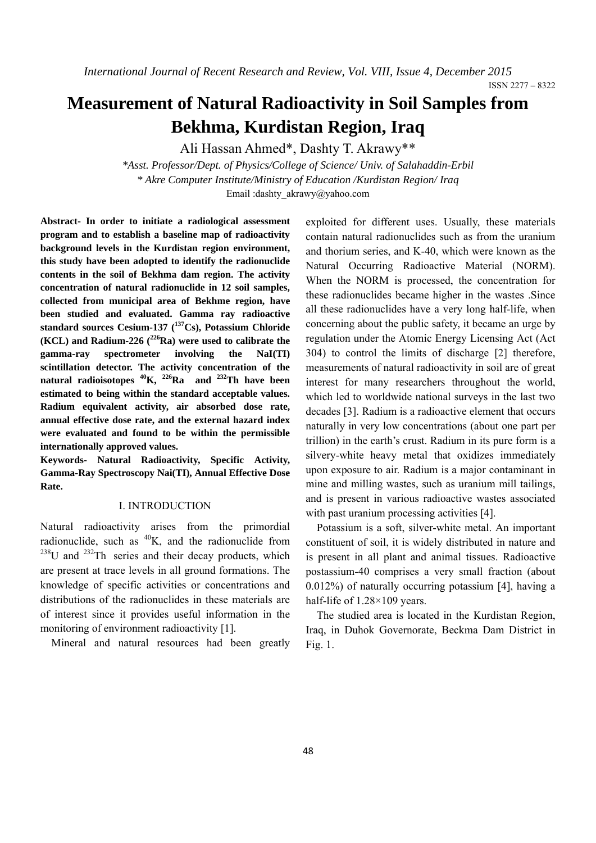ISSN 2277 – 8322

# **Measurement of Natural Radioactivity in Soil Samples from Bekhma, Kurdistan Region, Iraq**

Ali Hassan Ahmed\*, Dashty T. Akrawy\*\*

*\*Asst. Professor/Dept. of Physics/College of Science/ Univ. of Salahaddin-Erbil \* Akre Computer Institute/Ministry of Education /Kurdistan Region/ Iraq*  Email :dashty\_akrawy@yahoo.com

**Abstract- In order to initiate a radiological assessment program and to establish a baseline map of radioactivity background levels in the Kurdistan region environment, this study have been adopted to identify the radionuclide contents in the soil of Bekhma dam region. The activity concentration of natural radionuclide in 12 soil samples, collected from municipal area of Bekhme region, have been studied and evaluated. Gamma ray radioactive**  standard sources Cesium-137 (<sup>137</sup>Cs), Potassium Chloride **(KCL) and Radium-226 (226Ra) were used to calibrate the gamma-ray spectrometer involving the NaI(TI) scintillation detector. The activity concentration of the natural radioisotopes 40K, 226Ra and 232Th have been estimated to being within the standard acceptable values. Radium equivalent activity, air absorbed dose rate, annual effective dose rate, and the external hazard index were evaluated and found to be within the permissible internationally approved values.** 

**Keywords- Natural Radioactivity, Specific Activity, Gamma-Ray Spectroscopy Nai(TI), Annual Effective Dose Rate.** 

#### I. INTRODUCTION

Natural radioactivity arises from the primordial radionuclide, such as  ${}^{40}K$ , and the radionuclide from  $238$ U and  $232$ Th series and their decay products, which are present at trace levels in all ground formations. The knowledge of specific activities or concentrations and distributions of the radionuclides in these materials are of interest since it provides useful information in the monitoring of environment radioactivity [1].

Mineral and natural resources had been greatly

exploited for different uses. Usually, these materials contain natural radionuclides such as from the uranium and thorium series, and K-40, which were known as the Natural Occurring Radioactive Material (NORM). When the NORM is processed, the concentration for these radionuclides became higher in the wastes .Since all these radionuclides have a very long half-life, when concerning about the public safety, it became an urge by regulation under the Atomic Energy Licensing Act (Act 304) to control the limits of discharge [2] therefore, measurements of natural radioactivity in soil are of great interest for many researchers throughout the world, which led to worldwide national surveys in the last two decades [3]. Radium is a radioactive element that occurs naturally in very low concentrations (about one part per trillion) in the earth's crust. Radium in its pure form is a silvery-white heavy metal that oxidizes immediately upon exposure to air. Radium is a major contaminant in mine and milling wastes, such as uranium mill tailings, and is present in various radioactive wastes associated with past uranium processing activities [4].

Potassium is a soft, silver-white metal. An important constituent of soil, it is widely distributed in nature and is present in all plant and animal tissues. Radioactive postassium-40 comprises a very small fraction (about 0.012%) of naturally occurring potassium [4], having a half-life of 1.28×109 years.

The studied area is located in the Kurdistan Region, Iraq, in Duhok Governorate, Beckma Dam District in Fig. 1.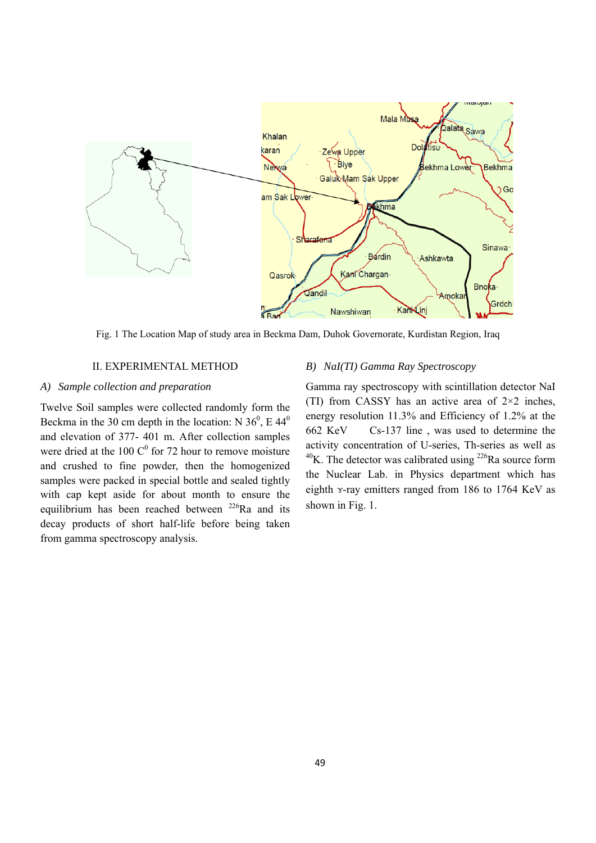

Fig. 1 The Location Map of study area in Beckma Dam, Duhok Governorate, Kurdistan Region, Iraq

#### II. EXPERIMENTAL METHOD

#### *A) Sample collection and preparation*

Twelve Soil samples were collected randomly form the Beckma in the 30 cm depth in the location: N  $36^{\circ}$ , E  $44^{\circ}$ and elevation of 377- 401 m. After collection samples were dried at the 100  $C^0$  for 72 hour to remove moisture and crushed to fine powder, then the homogenized samples were packed in special bottle and sealed tightly with cap kept aside for about month to ensure the equilibrium has been reached between  $^{226}$ Ra and its decay products of short half-life before being taken from gamma spectroscopy analysis.

#### *B) NaI(TI) Gamma Ray Spectroscopy*

Gamma ray spectroscopy with scintillation detector NaI (TI) from CASSY has an active area of  $2\times 2$  inches, energy resolution 11.3% and Efficiency of 1.2% at the 662 KeV Cs-137 line , was used to determine the activity concentration of U-series, Th-series as well as  $^{40}$ K. The detector was calibrated using  $^{226}$ Ra source form the Nuclear Lab. in Physics department which has eighth ɤ-ray emitters ranged from 186 to 1764 KeV as shown in Fig. 1.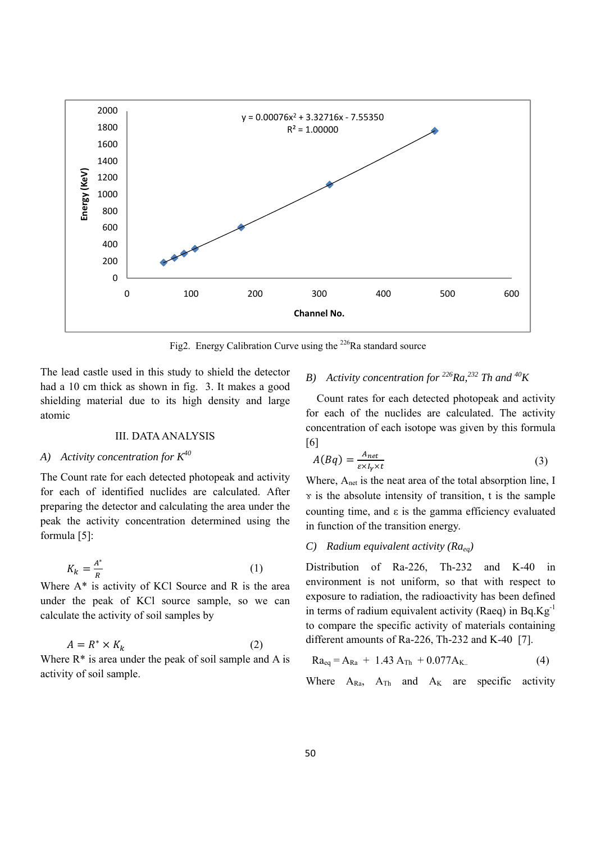

Fig2. Energy Calibration Curve using the <sup>226</sup>Ra standard source

The lead castle used in this study to shield the detector had a 10 cm thick as shown in fig. 3. It makes a good shielding material due to its high density and large atomic

#### III. DATA ANALYSIS

## *A) Activity concentration for K40*

The Count rate for each detected photopeak and activity for each of identified nuclides are calculated. After preparing the detector and calculating the area under the peak the activity concentration determined using the formula [5]:

$$
K_k = \frac{A^*}{R} \tag{1}
$$

Where  $A^*$  is activity of KCl Source and R is the area under the peak of KCl source sample, so we can calculate the activity of soil samples by

$$
A = R^* \times K_k \tag{2}
$$

Where  $R^*$  is area under the peak of soil sample and A is activity of soil sample.

### *B) Activity concentration for 226Ra,232 Th and 40K*

Count rates for each detected photopeak and activity for each of the nuclides are calculated. The activity concentration of each isotope was given by this formula [6]

$$
A(Bq) = \frac{A_{net}}{\varepsilon \times I_Y \times t} \tag{3}
$$

Where, A<sub>net</sub> is the neat area of the total absorption line, I  $\gamma$  is the absolute intensity of transition, t is the sample counting time, and ε is the gamma efficiency evaluated in function of the transition energy.

## *C) Radium equivalent activity (Raeq)*

Distribution of Ra-226, Th-232 and K-40 in environment is not uniform, so that with respect to exposure to radiation, the radioactivity has been defined in terms of radium equivalent activity (Raeq) in  $Bq.Kg^{-1}$ to compare the specific activity of materials containing different amounts of Ra-226, Th-232 and K-40 [7].

$$
Ra_{eq} = A_{Ra} + 1.43 A_{Th} + 0.077 A_{K.}
$$
 (4)

Where  $A_{Ra}$ ,  $A_{Th}$  and  $A_K$  are specific activity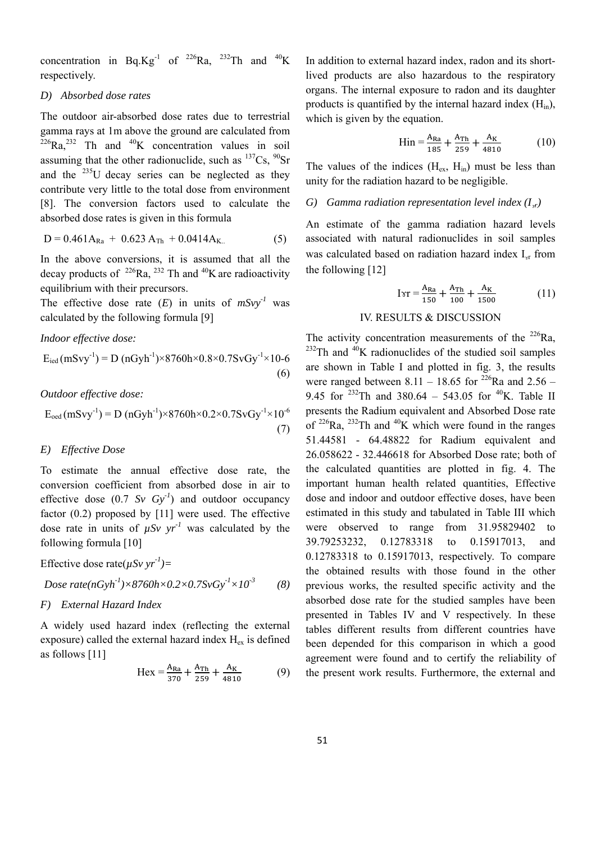concentration in Bq.Kg<sup>-1</sup> of <sup>226</sup>Ra, <sup>232</sup>Th and <sup>40</sup>K respectively.

#### *D) Absorbed dose rates*

The outdoor air-absorbed dose rates due to terrestrial gamma rays at 1m above the ground are calculated from  $^{226}Ra$ <sup>232</sup> Th and <sup>40</sup>K concentration values in soil assuming that the other radionuclide, such as  $^{137}Cs$ ,  $^{90}Sr$ and the  $^{235}$ U decay series can be neglected as they contribute very little to the total dose from environment [8]. The conversion factors used to calculate the absorbed dose rates is given in this formula

$$
D = 0.461A_{Ra} + 0.623 A_{Th} + 0.0414A_{K} \tag{5}
$$

In the above conversions, it is assumed that all the decay products of  $^{226}Ra$ ,  $^{232}$  Th and  $^{40}K$  are radioactivity equilibrium with their precursors.

The effective dose rate  $(E)$  in units of  $mSvv<sup>-1</sup>$  was calculated by the following formula [9]

*Indoor effective dose:* 

$$
E_{\text{ied}}(mSvy^{-1}) = D (nGyh^{-1}) \times 8760h \times 0.8 \times 0.7SvGy^{-1} \times 10-6
$$
\n(6)

*Outdoor effective dose:* 

$$
E_{\text{oed}}(mSvy^{-1}) = D (nGyh^{-1}) \times 8760h \times 0.2 \times 0.7SvGy^{-1} \times 10^{-6}
$$
  
(7)

#### *E) Effective Dose*

To estimate the annual effective dose rate, the conversion coefficient from absorbed dose in air to effective dose  $(0.7 \text{ Sv } Gy^{-1})$  and outdoor occupancy factor (0.2) proposed by [11] were used. The effective dose rate in units of  $\mu Sv$  yr<sup>-1</sup> was calculated by the following formula [10]

Effective dose rate $(\mu Sv \, yr^{-1})$ =

$$
Dose\ rate(nGyh^{-1})\times 8760h\times 0.2\times 0.7SvGy^{-1}\times 10^{-3}
$$
 (8)

#### *F) External Hazard Index*

A widely used hazard index (reflecting the external exposure) called the external hazard index  $H_{ex}$  is defined as follows [11]

$$
Hex = \frac{A_{Ra}}{370} + \frac{A_{Th}}{259} + \frac{A_K}{4810}
$$
 (9)

In addition to external hazard index, radon and its shortlived products are also hazardous to the respiratory organs. The internal exposure to radon and its daughter products is quantified by the internal hazard index  $(H_{in})$ , which is given by the equation.

$$
Hin = \frac{A_{Ra}}{185} + \frac{A_{Th}}{259} + \frac{A_K}{4810}
$$
 (10)

The values of the indices  $(H_{ex}, H_{in})$  must be less than unity for the radiation hazard to be negligible.

#### *G*) *Gamma radiation representation level index*  $(I_x)$

An estimate of the gamma radiation hazard levels associated with natural radionuclides in soil samples was calculated based on radiation hazard index  $I_{\rm yr}$  from the following [12]

$$
I \gamma r = \frac{A_{\text{Ra}}}{150} + \frac{A_{\text{Th}}}{100} + \frac{A_K}{1500}
$$
 (11)

#### IV. RESULTS & DISCUSSION

The activity concentration measurements of the  $226$ Ra,  $^{232}$ Th and  $^{40}$ K radionuclides of the studied soil samples are shown in Table I and plotted in fig. 3, the results were ranged between 8.11 – 18.65 for <sup>226</sup>Ra and 2.56 – 9.45 for  $^{232}$ Th and 380.64 – 543.05 for  $^{40}$ K. Table II presents the Radium equivalent and Absorbed Dose rate of  $226Ra$ ,  $232Th$  and  $40K$  which were found in the ranges 51.44581 - 64.48822 for Radium equivalent and 26.058622 - 32.446618 for Absorbed Dose rate; both of the calculated quantities are plotted in fig. 4. The important human health related quantities, Effective dose and indoor and outdoor effective doses, have been estimated in this study and tabulated in Table III which were observed to range from 31.95829402 to 39.79253232, 0.12783318 to 0.15917013, and 0.12783318 to 0.15917013, respectively. To compare the obtained results with those found in the other previous works, the resulted specific activity and the absorbed dose rate for the studied samples have been presented in Tables IV and V respectively. In these tables different results from different countries have been depended for this comparison in which a good agreement were found and to certify the reliability of the present work results. Furthermore, the external and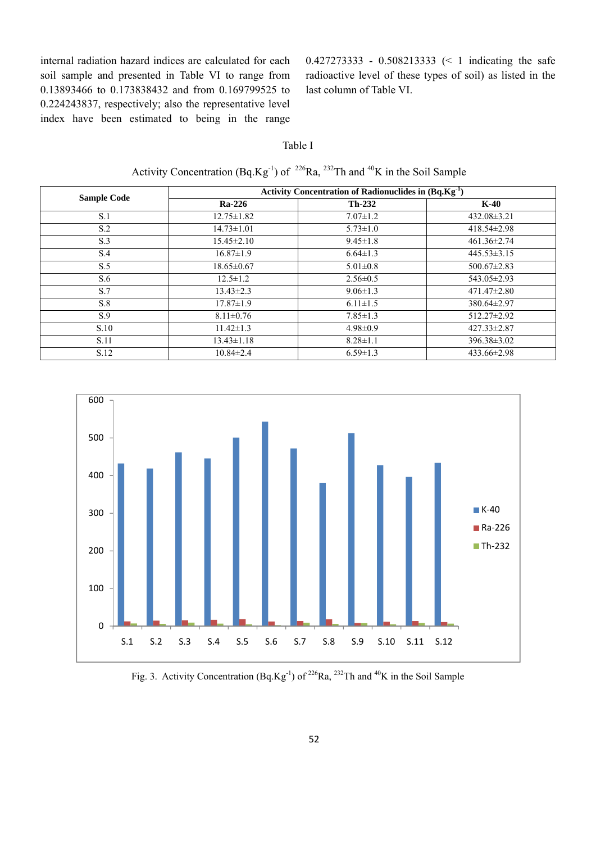internal radiation hazard indices are calculated for each soil sample and presented in Table VI to range from 0.13893466 to 0.173838432 and from 0.169799525 to 0.224243837, respectively; also the representative level index have been estimated to being in the range 0.427273333 - 0.508213333 (< 1 indicating the safe radioactive level of these types of soil) as listed in the last column of Table VI.

#### Table I

Activity Concentration (Bq.Kg<sup>-1</sup>) of <sup>226</sup>Ra, <sup>232</sup>Th and <sup>40</sup>K in the Soil Sample

| <b>Sample Code</b> | Activity Concentration of Radionuclides in $(Bq.Kg^{-1})$ |                |                   |  |  |
|--------------------|-----------------------------------------------------------|----------------|-------------------|--|--|
|                    | <b>Ra-226</b>                                             | $Th-232$       | $K-40$            |  |  |
| S.1                | $12.75 \pm 1.82$                                          | $7.07 \pm 1.2$ | $432.08 \pm 3.21$ |  |  |
| S.2                | $14.73 \pm 1.01$                                          | $5.73 \pm 1.0$ | $418.54 \pm 2.98$ |  |  |
| S.3                | $15.45 \pm 2.10$                                          | $9.45 \pm 1.8$ | $461.36 \pm 2.74$ |  |  |
| S.4                | $16.87 \pm 1.9$                                           | $6.64 \pm 1.3$ | $445.53 \pm 3.15$ |  |  |
| S.5                | $18.65 \pm 0.67$                                          | $5.01 \pm 0.8$ | $500.67 \pm 2.83$ |  |  |
| S.6                | $12.5 \pm 1.2$                                            | $2.56 \pm 0.5$ | $543.05 \pm 2.93$ |  |  |
| S.7                | $13.43 \pm 2.3$                                           | $9.06 \pm 1.3$ | $471.47 \pm 2.80$ |  |  |
| S.8                | $17.87 \pm 1.9$                                           | $6.11 \pm 1.5$ | 380.64±2.97       |  |  |
| S.9                | $8.11 \pm 0.76$                                           | $7.85 \pm 1.3$ | $512.27 \pm 2.92$ |  |  |
| S.10               | $11.42 \pm 1.3$                                           | $4.98 \pm 0.9$ | $427.33 \pm 2.87$ |  |  |
| S.11               | $13.43 \pm 1.18$                                          | $8.28 \pm 1.1$ | $396.38 \pm 3.02$ |  |  |
| S.12               | $10.84 \pm 2.4$                                           | $6.59 \pm 1.3$ | $433.66 \pm 2.98$ |  |  |



Fig. 3. Activity Concentration  $(Bq_1Kg_1^{-1})$  of <sup>226</sup>Ra, <sup>232</sup>Th and <sup>40</sup>K in the Soil Sample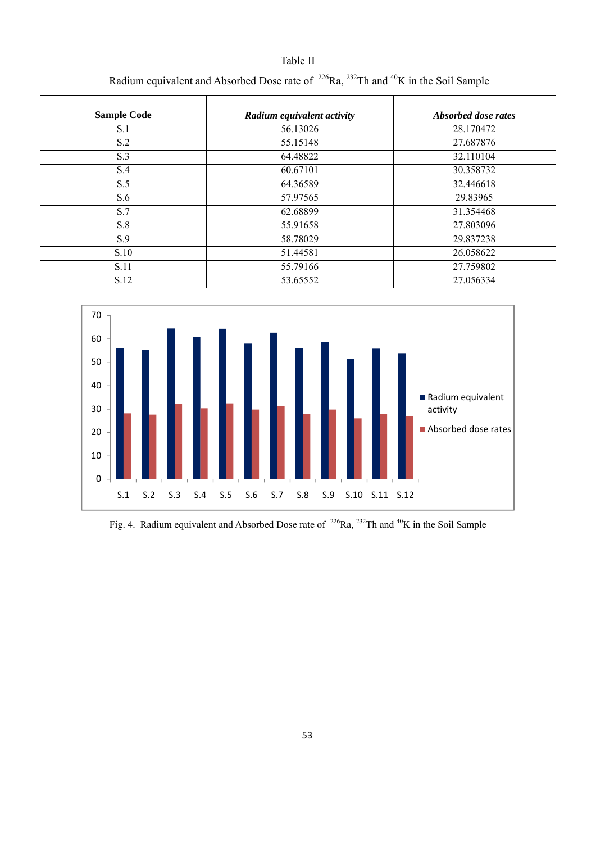| <b>Sample Code</b> | Radium equivalent activity | <i>Absorbed dose rates</i> |
|--------------------|----------------------------|----------------------------|
| S.1                | 56.13026                   | 28.170472                  |
| S.2                | 55.15148                   | 27.687876                  |
| S.3                | 64.48822                   | 32.110104                  |
| S.4                | 60.67101                   | 30.358732                  |
| S.5                | 64.36589                   | 32.446618                  |
| S.6                | 57.97565                   | 29.83965                   |
| S.7                | 62.68899                   | 31.354468                  |
| S.8                | 55.91658                   | 27.803096                  |
| S.9                | 58.78029                   | 29.837238                  |
| S.10               | 51.44581                   | 26.058622                  |
| S.11               | 55.79166                   | 27.759802                  |
| S.12               | 53.65552                   | 27.056334                  |

Table II



Fig. 4. Radium equivalent and Absorbed Dose rate of <sup>226</sup>Ra, <sup>232</sup>Th and <sup>40</sup>K in the Soil Sample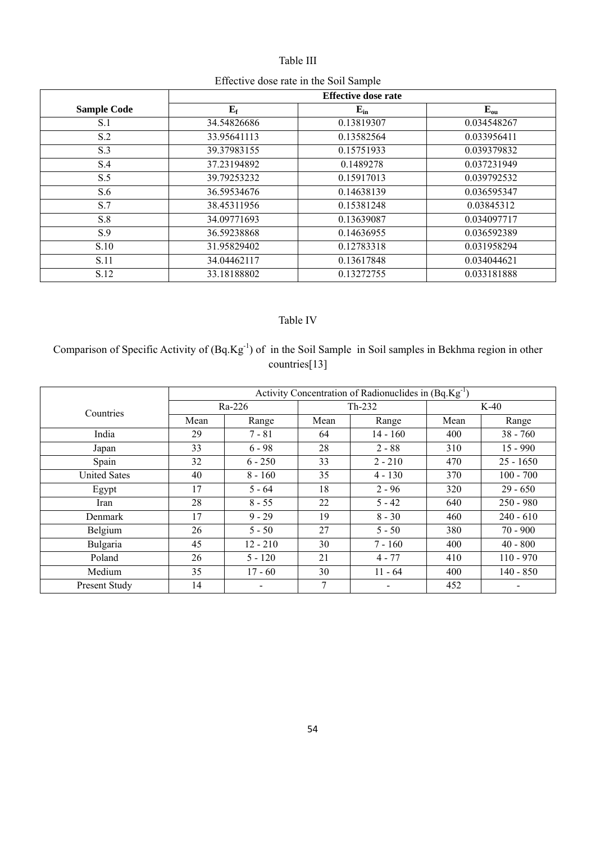## Table III

# Effective dose rate in the Soil Sample

|                    | <b>Effective dose rate</b> |            |             |  |
|--------------------|----------------------------|------------|-------------|--|
| <b>Sample Code</b> | ${\bf E_f}$                | $E_{in}$   | $E_{ou}$    |  |
| S.1                | 34.54826686                | 0.13819307 | 0.034548267 |  |
| S.2                | 33.95641113                | 0.13582564 | 0.033956411 |  |
| S.3                | 39.37983155                | 0.15751933 | 0.039379832 |  |
| S.4                | 37.23194892                | 0.1489278  | 0.037231949 |  |
| S.5                | 39.79253232                | 0.15917013 | 0.039792532 |  |
| S.6                | 36.59534676                | 0.14638139 | 0.036595347 |  |
| S.7                | 38.45311956                | 0.15381248 | 0.03845312  |  |
| S.8                | 34.09771693                | 0.13639087 | 0.034097717 |  |
| S.9                | 36.59238868                | 0.14636955 | 0.036592389 |  |
| S.10               | 31.95829402                | 0.12783318 | 0.031958294 |  |
| S.11               | 34.04462117                | 0.13617848 | 0.034044621 |  |
| S.12               | 33.18188802                | 0.13272755 | 0.033181888 |  |

# Table IV

# Comparison of Specific Activity of (Bq.Kg-1) of in the Soil Sample in Soil samples in Bekhma region in other countries[13]

|                     | Activity Concentration of Radionuclides in $(Bq.Kg^{-1})$ |            |          |                          |        |             |
|---------------------|-----------------------------------------------------------|------------|----------|--------------------------|--------|-------------|
| Countries           | Ra-226                                                    |            | $Th-232$ |                          | $K-40$ |             |
|                     | Mean                                                      | Range      | Mean     | Range                    | Mean   | Range       |
| India               | 29                                                        | $7 - 81$   | 64       | $14 - 160$               | 400    | $38 - 760$  |
| Japan               | 33                                                        | $6 - 98$   | 28       | $2 - 88$                 | 310    | $15 - 990$  |
| Spain               | 32                                                        | $6 - 250$  | 33       | $2 - 210$                | 470    | $25 - 1650$ |
| <b>United Sates</b> | 40                                                        | $8 - 160$  | 35       | $4 - 130$                | 370    | $100 - 700$ |
| Egypt               | 17                                                        | $5 - 64$   | 18       | $2 - 96$                 | 320    | $29 - 650$  |
| Iran                | 28                                                        | $8 - 55$   | 22       | $5 - 42$                 | 640    | $250 - 980$ |
| Denmark             | 17                                                        | $9 - 29$   | 19       | $8 - 30$                 | 460    | $240 - 610$ |
| Belgium             | 26                                                        | $5 - 50$   | 27       | $5 - 50$                 | 380    | $70 - 900$  |
| Bulgaria            | 45                                                        | $12 - 210$ | 30       | $7 - 160$                | 400    | $40 - 800$  |
| Poland              | 26                                                        | $5 - 120$  | 21       | $4 - 77$                 | 410    | $110 - 970$ |
| Medium              | 35                                                        | $17 - 60$  | 30       | $11 - 64$                | 400    | $140 - 850$ |
| Present Study       | 14                                                        | -          | 7        | $\overline{\phantom{a}}$ | 452    | -           |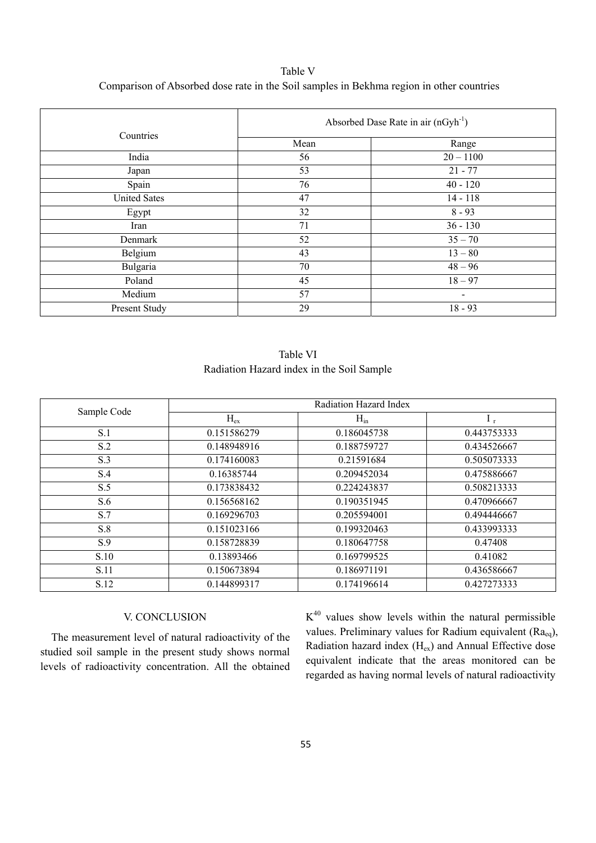Table V Comparison of Absorbed dose rate in the Soil samples in Bekhma region in other countries

| Countries           | Absorbed Dase Rate in air $(nGyh^{-1})$ |                 |  |
|---------------------|-----------------------------------------|-----------------|--|
|                     | Mean                                    | Range           |  |
| India               | 56                                      | $20 - 1100$     |  |
| Japan               | 53                                      | $21 - 77$       |  |
| Spain               | 76                                      | $40 - 120$      |  |
| <b>United Sates</b> | 47                                      | $14 - 118$      |  |
| Egypt               | 32                                      | $8 - 93$        |  |
| Iran                | 71                                      | $36 - 130$      |  |
| Denmark             | 52                                      | $35 - 70$       |  |
| Belgium             | 43                                      | $13 - 80$       |  |
| Bulgaria            | 70                                      | $48 - 96$       |  |
| Poland              | 45                                      | $18 - 97$       |  |
| Medium              | 57                                      | $\qquad \qquad$ |  |
| Present Study       | 29                                      | $18 - 93$       |  |

| Table VI                                  |  |
|-------------------------------------------|--|
| Radiation Hazard index in the Soil Sample |  |

| Sample Code | Radiation Hazard Index |             |             |  |
|-------------|------------------------|-------------|-------------|--|
|             | $H_{ex}$               | $H_{in}$    | $I_{r}$     |  |
| S.1         | 0.151586279            | 0.186045738 | 0.443753333 |  |
| S.2         | 0.148948916            | 0.188759727 | 0.434526667 |  |
| S.3         | 0.174160083            | 0.21591684  | 0.505073333 |  |
| S.4         | 0.16385744             | 0.209452034 | 0.475886667 |  |
| S.5         | 0.173838432            | 0.224243837 | 0.508213333 |  |
| S.6         | 0.156568162            | 0.190351945 | 0.470966667 |  |
| S.7         | 0.169296703            | 0.205594001 | 0.494446667 |  |
| S.8         | 0.151023166            | 0.199320463 | 0.433993333 |  |
| S.9         | 0.158728839            | 0.180647758 | 0.47408     |  |
| S.10        | 0.13893466             | 0.169799525 | 0.41082     |  |
| S.11        | 0.150673894            | 0.186971191 | 0.436586667 |  |
| S.12        | 0.144899317            | 0.174196614 | 0.427273333 |  |

#### V. CONCLUSION

The measurement level of natural radioactivity of the studied soil sample in the present study shows normal levels of radioactivity concentration. All the obtained  $K^{40}$  values show levels within the natural permissible values. Preliminary values for Radium equivalent (Ra<sub>eq</sub>), Radiation hazard index  $(H_{ex})$  and Annual Effective dose equivalent indicate that the areas monitored can be regarded as having normal levels of natural radioactivity